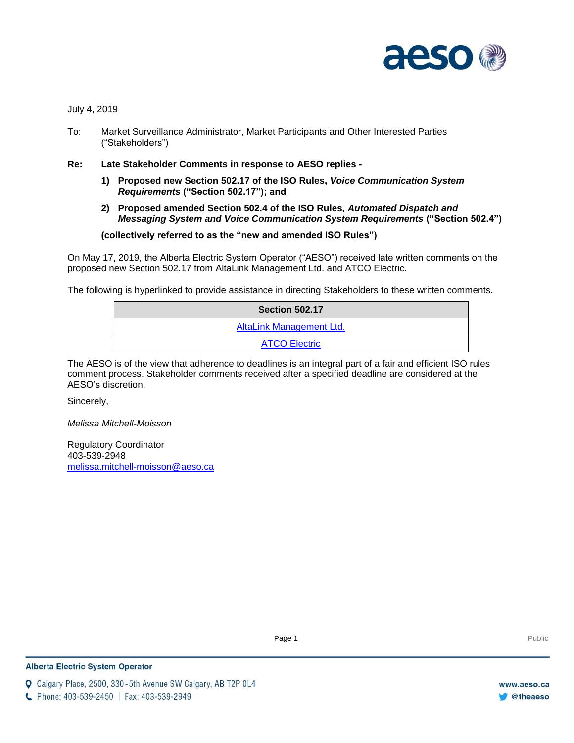

July 4, 2019

- To: Market Surveillance Administrator, Market Participants and Other Interested Parties ("Stakeholders")
- **Re: Late Stakeholder Comments in response to AESO replies -**
	- **1) Proposed new Section 502.17 of the ISO Rules,** *Voice Communication System Requirements* **("Section 502.17"); and**
	- **2) Proposed amended Section 502.4 of the ISO Rules,** *Automated Dispatch and Messaging System and Voice Communication System Requirements* **("Section 502.4")**

**(collectively referred to as the "new and amended ISO Rules")**

On May 17, 2019, the Alberta Electric System Operator ("AESO") received late written comments on the proposed new Section 502.17 from AltaLink Management Ltd. and ATCO Electric.

The following is hyperlinked to provide assistance in directing Stakeholders to these written comments.

| <b>Section 502.17</b>    |
|--------------------------|
| AltaLink Management Ltd. |
| <b>ATCO Electric</b>     |

The AESO is of the view that adherence to deadlines is an integral part of a fair and efficient ISO rules comment process. Stakeholder comments received after a specified deadline are considered at the AESO's discretion.

Sincerely,

*Melissa Mitchell-Moisson*

Regulatory Coordinator 403-539-2948 [melissa.mitchell-moisson@aeso.ca](mailto:melissa.mitchell-moisson@aeso.ca)

Page 1 Public Page 1 Public Public Public Public Public Public Public Public Public Public Public Public Public Public Public Public Public Public Public Public Public Public Public Public Public Public Public Public Publi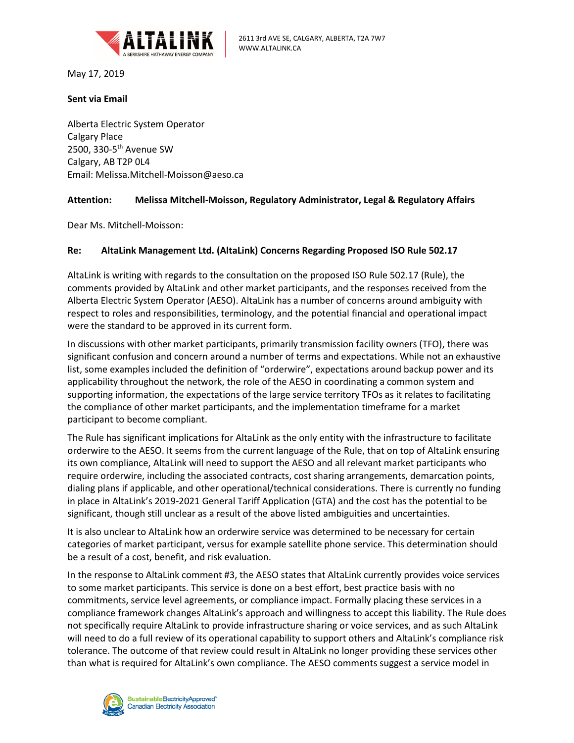<span id="page-1-0"></span>

May 17, 2019

## **Sent via Email**

Alberta Electric System Operator Calgary Place 2500, 330-5<sup>th</sup> Avenue SW Calgary, AB T2P 0L4 Email: Melissa.Mitchell-Moisson@aeso.ca

## **Attention: Melissa Mitchell-Moisson, Regulatory Administrator, Legal & Regulatory Affairs**

Dear Ms. Mitchell-Moisson:

## **Re: AltaLink Management Ltd. (AltaLink) Concerns Regarding Proposed ISO Rule 502.17**

AltaLink is writing with regards to the consultation on the proposed ISO Rule 502.17 (Rule), the comments provided by AltaLink and other market participants, and the responses received from the Alberta Electric System Operator (AESO). AltaLink has a number of concerns around ambiguity with respect to roles and responsibilities, terminology, and the potential financial and operational impact were the standard to be approved in its current form.

In discussions with other market participants, primarily transmission facility owners (TFO), there was significant confusion and concern around a number of terms and expectations. While not an exhaustive list, some examples included the definition of "orderwire", expectations around backup power and its applicability throughout the network, the role of the AESO in coordinating a common system and supporting information, the expectations of the large service territory TFOs as it relates to facilitating the compliance of other market participants, and the implementation timeframe for a market participant to become compliant.

The Rule has significant implications for AltaLink as the only entity with the infrastructure to facilitate orderwire to the AESO. It seems from the current language of the Rule, that on top of AltaLink ensuring its own compliance, AltaLink will need to support the AESO and all relevant market participants who require orderwire, including the associated contracts, cost sharing arrangements, demarcation points, dialing plans if applicable, and other operational/technical considerations. There is currently no funding in place in AltaLink's 2019-2021 General Tariff Application (GTA) and the cost has the potential to be significant, though still unclear as a result of the above listed ambiguities and uncertainties.

It is also unclear to AltaLink how an orderwire service was determined to be necessary for certain categories of market participant, versus for example satellite phone service. This determination should be a result of a cost, benefit, and risk evaluation.

In the response to AltaLink comment #3, the AESO states that AltaLink currently provides voice services to some market participants. This service is done on a best effort, best practice basis with no commitments, service level agreements, or compliance impact. Formally placing these services in a compliance framework changes AltaLink's approach and willingness to accept this liability. The Rule does not specifically require AltaLink to provide infrastructure sharing or voice services, and as such AltaLink will need to do a full review of its operational capability to support others and AltaLink's compliance risk tolerance. The outcome of that review could result in AltaLink no longer providing these services other than what is required for AltaLink's own compliance. The AESO comments suggest a service model in

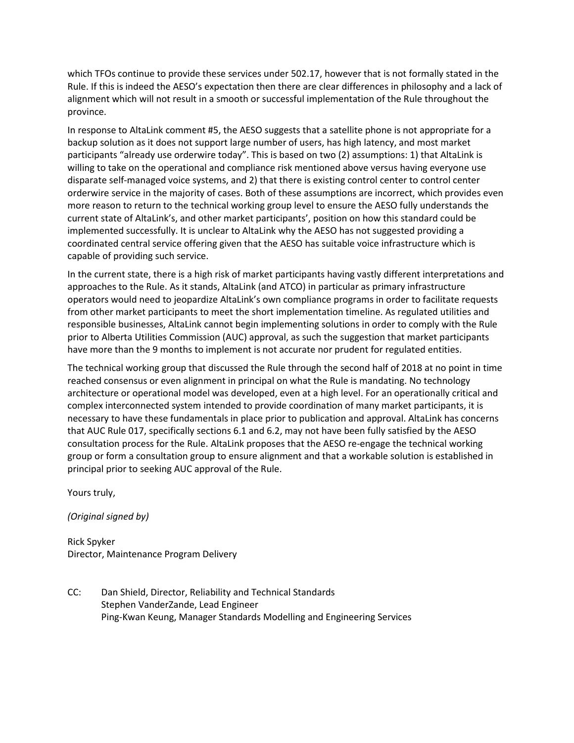which TFOs continue to provide these services under 502.17, however that is not formally stated in the Rule. If this is indeed the AESO's expectation then there are clear differences in philosophy and a lack of alignment which will not result in a smooth or successful implementation of the Rule throughout the province.

In response to AltaLink comment #5, the AESO suggests that a satellite phone is not appropriate for a backup solution as it does not support large number of users, has high latency, and most market participants "already use orderwire today". This is based on two (2) assumptions: 1) that AltaLink is willing to take on the operational and compliance risk mentioned above versus having everyone use disparate self-managed voice systems, and 2) that there is existing control center to control center orderwire service in the majority of cases. Both of these assumptions are incorrect, which provides even more reason to return to the technical working group level to ensure the AESO fully understands the current state of AltaLink's, and other market participants', position on how this standard could be implemented successfully. It is unclear to AltaLink why the AESO has not suggested providing a coordinated central service offering given that the AESO has suitable voice infrastructure which is capable of providing such service.

In the current state, there is a high risk of market participants having vastly different interpretations and approaches to the Rule. As it stands, AltaLink (and ATCO) in particular as primary infrastructure operators would need to jeopardize AltaLink's own compliance programs in order to facilitate requests from other market participants to meet the short implementation timeline. As regulated utilities and responsible businesses, AltaLink cannot begin implementing solutions in order to comply with the Rule prior to Alberta Utilities Commission (AUC) approval, as such the suggestion that market participants have more than the 9 months to implement is not accurate nor prudent for regulated entities.

The technical working group that discussed the Rule through the second half of 2018 at no point in time reached consensus or even alignment in principal on what the Rule is mandating. No technology architecture or operational model was developed, even at a high level. For an operationally critical and complex interconnected system intended to provide coordination of many market participants, it is necessary to have these fundamentals in place prior to publication and approval. AltaLink has concerns that AUC Rule 017, specifically sections 6.1 and 6.2, may not have been fully satisfied by the AESO consultation process for the Rule. AltaLink proposes that the AESO re-engage the technical working group or form a consultation group to ensure alignment and that a workable solution is established in principal prior to seeking AUC approval of the Rule.

Yours truly,

*(Original signed by)*

Rick Spyker Director, Maintenance Program Delivery

CC: Dan Shield, Director, Reliability and Technical Standards Stephen VanderZande, Lead Engineer Ping-Kwan Keung, Manager Standards Modelling and Engineering Services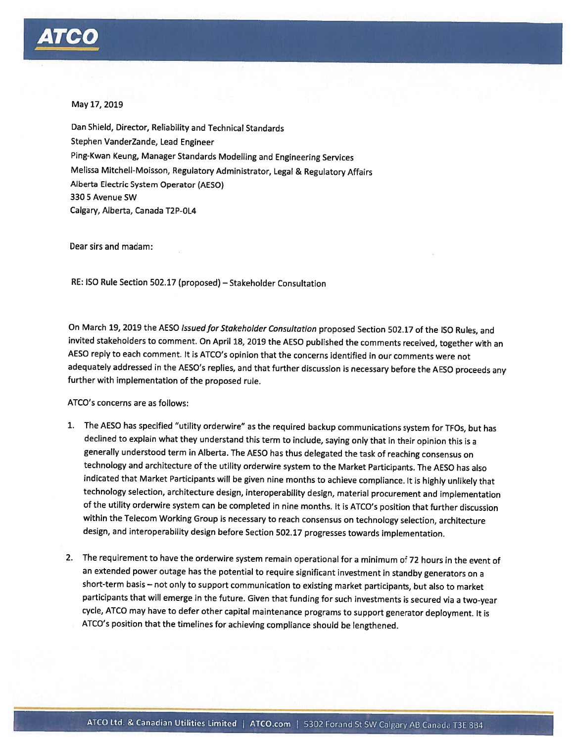

## May 17, 2019

Dan Shield, Director, Reliability and Technical Standards Stephen VanderZande, Lead Engineer Ping-Kwan Keung, Manager Standards Modelling and Engineering Services Melissa Mitchell-Moisson, Regulatory Administrator, Legal & Regulatory Affairs Alberta Electric System Operator (AESO) 330 5 Avenue SW Calgary, Alberta, Canada T2P-0L4

Dear sirs and madam:

RE: ISO Rule Section 502.17 (proposed) – Stakeholder Consultation

On March 19, 2019 the AESO Issued for Stakeholder Consultation proposed Section 502.17 of the ISO Rules, and invited stakeholders to comment. On April 18, 2019 the AESO published the comments received, together with an AESO reply to each comment. It is ATCO's opinion that the concerns identified in our comments were not adequately addressed in the AESO's replies, and that further discussion is necessary before the AESO proceeds any further with implementation of the proposed rule.

ATCO's concerns are as follows:

- 1. The AESO has specified "utility orderwire" as the required backup communications system for TFOs, but has declined to explain what they understand this term to include, saying only that in their opinion this is a generally understood term in Alberta. The AESO has thus delegated the task of reaching consensus on technology and architecture of the utility orderwire system to the Market Participants. The AESO has also indicated that Market Participants will be given nine months to achieve compliance. It is highly unlikely that technology selection, architecture design, interoperability design, material procurement and implementation of the utility orderwire system can be completed in nine months. It is ATCO's position that further discussion within the Telecom Working Group is necessary to reach consensus on technology selection, architecture design, and interoperability design before Section 502.17 progresses towards implementation.
- 2. The requirement to have the orderwire system remain operational for a minimum of 72 hours in the event of an extended power outage has the potential to require significant investment in standby generators on a short-term basis - not only to support communication to existing market participants, but also to market participants that will emerge in the future. Given that funding for such investments is secured via a two-year cycle, ATCO may have to defer other capital maintenance programs to support generator deployment. It is ATCO's position that the timelines for achieving compliance should be lengthened.